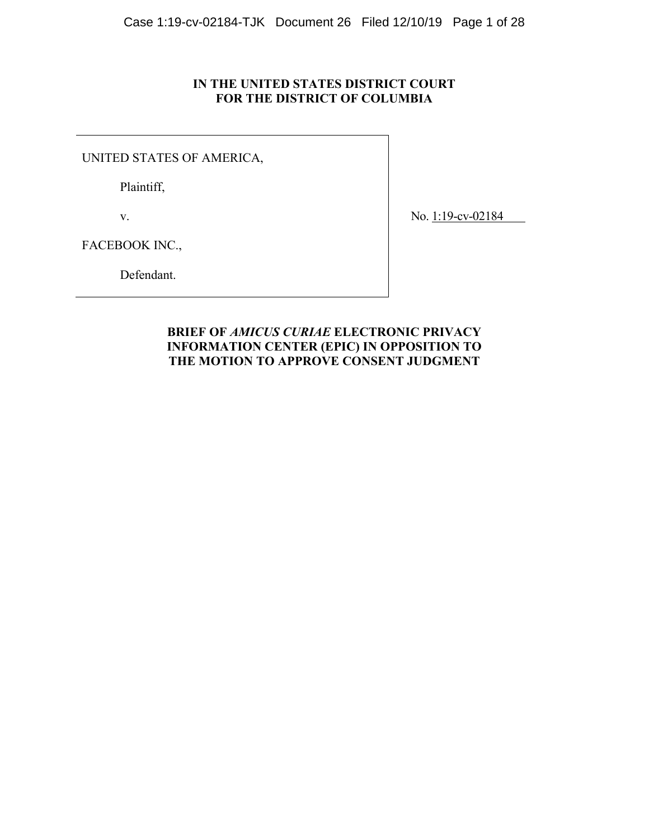### **IN THE UNITED STATES DISTRICT COURT FOR THE DISTRICT OF COLUMBIA**

UNITED STATES OF AMERICA,

Plaintiff,

v.

No. 1:19-cv-02184

FACEBOOK INC.,

Defendant.

### **BRIEF OF** *AMICUS CURIAE* **ELECTRONIC PRIVACY INFORMATION CENTER (EPIC) IN OPPOSITION TO THE MOTION TO APPROVE CONSENT JUDGMENT**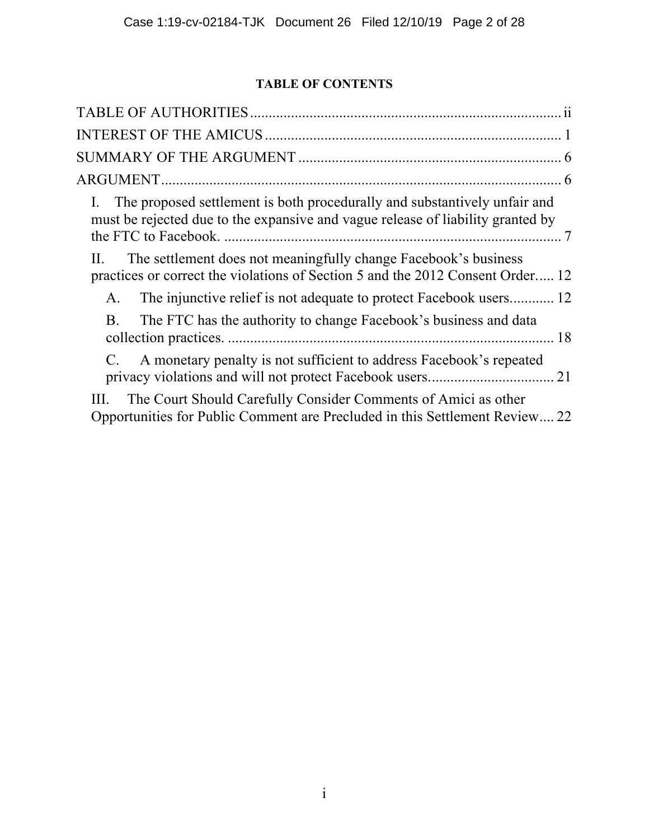# **TABLE OF CONTENTS**

| The proposed settlement is both procedurally and substantively unfair and<br>must be rejected due to the expansive and vague release of liability granted by |
|--------------------------------------------------------------------------------------------------------------------------------------------------------------|
| The settlement does not meaningfully change Facebook's business<br>П.<br>practices or correct the violations of Section 5 and the 2012 Consent Order 12      |
| The injunctive relief is not adequate to protect Facebook users 12<br>А.                                                                                     |
| The FTC has the authority to change Facebook's business and data<br>B.                                                                                       |
| A monetary penalty is not sufficient to address Facebook's repeated                                                                                          |
| The Court Should Carefully Consider Comments of Amici as other<br>Opportunities for Public Comment are Precluded in this Settlement Review 22                |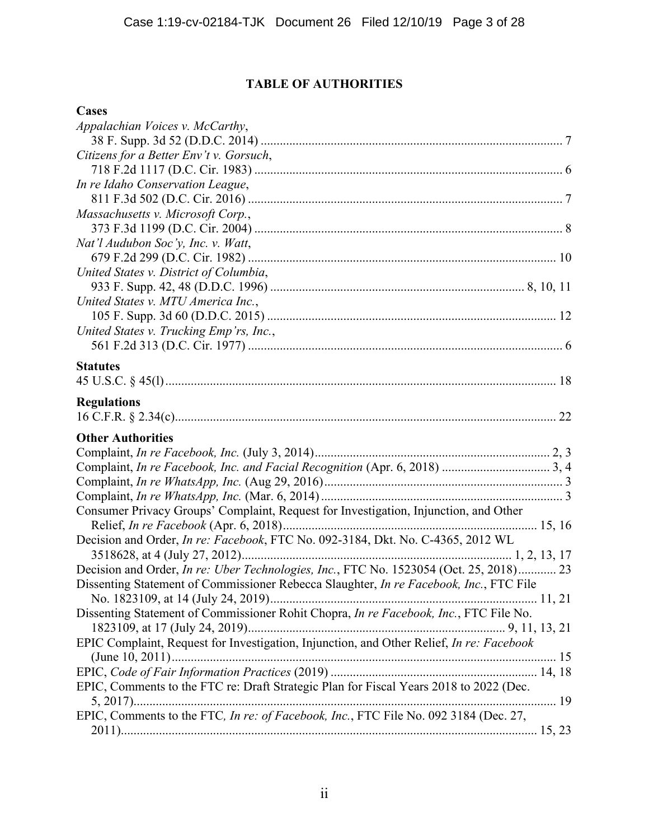# **TABLE OF AUTHORITIES**

## **Cases**

| Appalachian Voices v. McCarthy,                                                                |
|------------------------------------------------------------------------------------------------|
|                                                                                                |
| Citizens for a Better Env't v. Gorsuch,                                                        |
|                                                                                                |
| In re Idaho Conservation League,                                                               |
|                                                                                                |
| Massachusetts v. Microsoft Corp.,                                                              |
|                                                                                                |
| Nat'l Audubon Soc'y, Inc. v. Watt,                                                             |
|                                                                                                |
| United States v. District of Columbia,                                                         |
|                                                                                                |
| United States v. MTU America Inc.,                                                             |
|                                                                                                |
| United States v. Trucking Emp'rs, Inc.,                                                        |
|                                                                                                |
| <b>Statutes</b>                                                                                |
|                                                                                                |
| <b>Regulations</b>                                                                             |
|                                                                                                |
| <b>Other Authorities</b>                                                                       |
|                                                                                                |
|                                                                                                |
|                                                                                                |
|                                                                                                |
| Consumer Privacy Groups' Complaint, Request for Investigation, Injunction, and Other           |
|                                                                                                |
| Decision and Order, In re: Facebook, FTC No. 092-3184, Dkt. No. C-4365, 2012 WL                |
|                                                                                                |
| Decision and Order, <i>In re: Uber Technologies, Inc.</i> , FTC No. 1523054 (Oct. 25, 2018) 23 |
| Dissenting Statement of Commissioner Rebecca Slaughter, In re Facebook, Inc., FTC File         |
|                                                                                                |
| Dissenting Statement of Commissioner Rohit Chopra, In re Facebook, Inc., FTC File No.          |
|                                                                                                |
| EPIC Complaint, Request for Investigation, Injunction, and Other Relief, In re: Facebook       |
|                                                                                                |
|                                                                                                |
| EPIC, Comments to the FTC re: Draft Strategic Plan for Fiscal Years 2018 to 2022 (Dec.         |
|                                                                                                |
| EPIC, Comments to the FTC, In re: of Facebook, Inc., FTC File No. 092 3184 (Dec. 27,           |
|                                                                                                |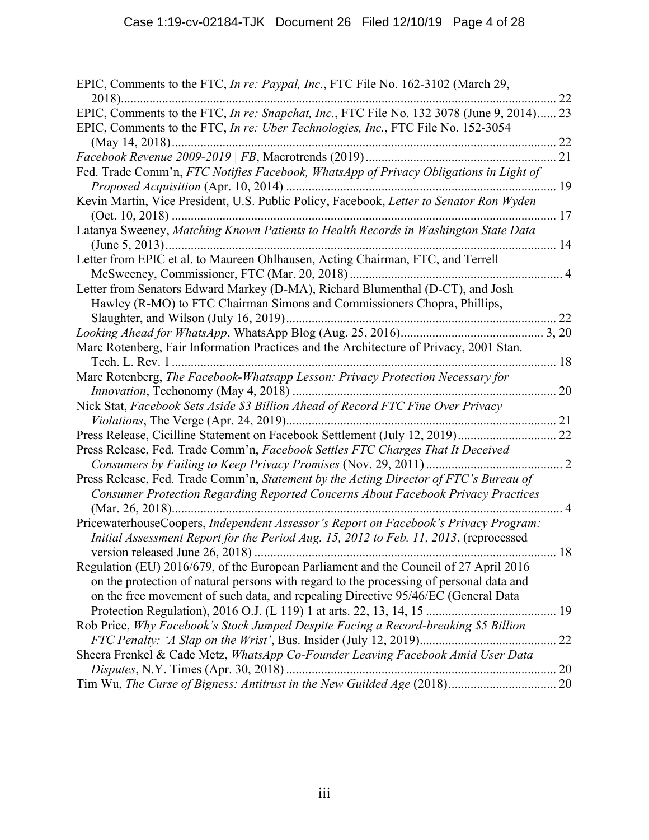| EPIC, Comments to the FTC, In re: Paypal, Inc., FTC File No. 162-3102 (March 29,          |    |
|-------------------------------------------------------------------------------------------|----|
|                                                                                           | 22 |
| EPIC, Comments to the FTC, In re: Snapchat, Inc., FTC File No. 132 3078 (June 9, 2014) 23 |    |
| EPIC, Comments to the FTC, In re: Uber Technologies, Inc., FTC File No. 152-3054          |    |
|                                                                                           |    |
|                                                                                           |    |
| Fed. Trade Comm'n, FTC Notifies Facebook, WhatsApp of Privacy Obligations in Light of     |    |
|                                                                                           |    |
| Kevin Martin, Vice President, U.S. Public Policy, Facebook, Letter to Senator Ron Wyden   |    |
|                                                                                           |    |
| Latanya Sweeney, Matching Known Patients to Health Records in Washington State Data       |    |
|                                                                                           |    |
| Letter from EPIC et al. to Maureen Ohlhausen, Acting Chairman, FTC, and Terrell           |    |
|                                                                                           |    |
| Letter from Senators Edward Markey (D-MA), Richard Blumenthal (D-CT), and Josh            |    |
| Hawley (R-MO) to FTC Chairman Simons and Commissioners Chopra, Phillips,                  |    |
|                                                                                           |    |
|                                                                                           |    |
| Marc Rotenberg, Fair Information Practices and the Architecture of Privacy, 2001 Stan.    |    |
| 18                                                                                        |    |
| Marc Rotenberg, The Facebook-Whatsapp Lesson: Privacy Protection Necessary for            |    |
|                                                                                           |    |
| Nick Stat, Facebook Sets Aside \$3 Billion Ahead of Record FTC Fine Over Privacy          |    |
|                                                                                           |    |
| Press Release, Cicilline Statement on Facebook Settlement (July 12, 2019) 22              |    |
| Press Release, Fed. Trade Comm'n, Facebook Settles FTC Charges That It Deceived           |    |
|                                                                                           |    |
| Press Release, Fed. Trade Comm'n, Statement by the Acting Director of FTC's Bureau of     |    |
| Consumer Protection Regarding Reported Concerns About Facebook Privacy Practices          |    |
| . 4                                                                                       |    |
| PricewaterhouseCoopers, Independent Assessor's Report on Facebook's Privacy Program:      |    |
| Initial Assessment Report for the Period Aug. 15, 2012 to Feb. 11, 2013, (reprocessed     |    |
|                                                                                           | 18 |
| Regulation (EU) 2016/679, of the European Parliament and the Council of 27 April 2016     |    |
| on the protection of natural persons with regard to the processing of personal data and   |    |
| on the free movement of such data, and repealing Directive 95/46/EC (General Data         |    |
|                                                                                           |    |
| Rob Price, Why Facebook's Stock Jumped Despite Facing a Record-breaking \$5 Billion       |    |
|                                                                                           |    |
| Sheera Frenkel & Cade Metz, WhatsApp Co-Founder Leaving Facebook Amid User Data           |    |
|                                                                                           |    |
|                                                                                           |    |
|                                                                                           |    |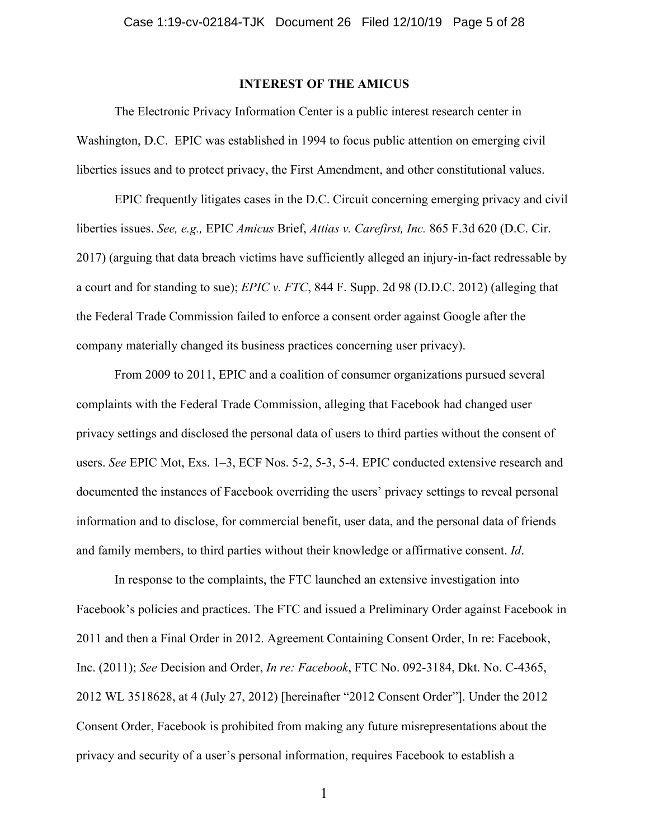### **INTEREST OF THE AMICUS**

The Electronic Privacy Information Center is a public interest research center in Washington, D.C. EPIC was established in 1994 to focus public attention on emerging civil liberties issues and to protect privacy, the First Amendment, and other constitutional values.

EPIC frequently litigates cases in the D.C. Circuit concerning emerging privacy and civil liberties issues. *See, e.g.,* EPIC *Amicus* Brief, *Attias v. Carefirst, Inc.* 865 F.3d 620 (D.C. Cir. 2017) (arguing that data breach victims have sufficiently alleged an injury-in-fact redressable by a court and for standing to sue); *EPIC v. FTC*, 844 F. Supp. 2d 98 (D.D.C. 2012) (alleging that the Federal Trade Commission failed to enforce a consent order against Google after the company materially changed its business practices concerning user privacy).

From 2009 to 2011, EPIC and a coalition of consumer organizations pursued several complaints with the Federal Trade Commission, alleging that Facebook had changed user privacy settings and disclosed the personal data of users to third parties without the consent of users. *See* EPIC Mot, Exs. 1–3, ECF Nos. 5-2, 5-3, 5-4. EPIC conducted extensive research and documented the instances of Facebook overriding the users' privacy settings to reveal personal information and to disclose, for commercial benefit, user data, and the personal data of friends and family members, to third parties without their knowledge or affirmative consent. *Id*.

In response to the complaints, the FTC launched an extensive investigation into Facebook's policies and practices. The FTC and issued a Preliminary Order against Facebook in 2011 and then a Final Order in 2012. Agreement Containing Consent Order, In re: Facebook, Inc. (2011); *See* Decision and Order, *In re: Facebook*, FTC No. 092-3184, Dkt. No. C-4365, 2012 WL 3518628, at 4 (July 27, 2012) [hereinafter "2012 Consent Order"]. Under the 2012 Consent Order, Facebook is prohibited from making any future misrepresentations about the privacy and security of a user's personal information, requires Facebook to establish a

1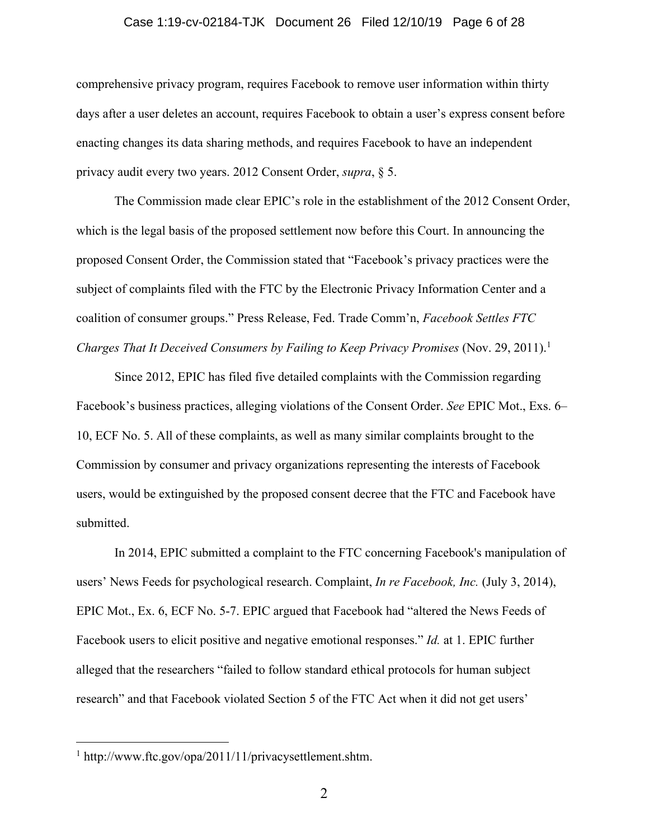### Case 1:19-cv-02184-TJK Document 26 Filed 12/10/19 Page 6 of 28

comprehensive privacy program, requires Facebook to remove user information within thirty days after a user deletes an account, requires Facebook to obtain a user's express consent before enacting changes its data sharing methods, and requires Facebook to have an independent privacy audit every two years. 2012 Consent Order, *supra*, § 5.

The Commission made clear EPIC's role in the establishment of the 2012 Consent Order, which is the legal basis of the proposed settlement now before this Court. In announcing the proposed Consent Order, the Commission stated that "Facebook's privacy practices were the subject of complaints filed with the FTC by the Electronic Privacy Information Center and a coalition of consumer groups." Press Release, Fed. Trade Comm'n, *Facebook Settles FTC Charges That It Deceived Consumers by Failing to Keep Privacy Promises* (Nov. 29, 2011). 1

Since 2012, EPIC has filed five detailed complaints with the Commission regarding Facebook's business practices, alleging violations of the Consent Order. *See* EPIC Mot., Exs. 6– 10, ECF No. 5. All of these complaints, as well as many similar complaints brought to the Commission by consumer and privacy organizations representing the interests of Facebook users, would be extinguished by the proposed consent decree that the FTC and Facebook have submitted.

In 2014, EPIC submitted a complaint to the FTC concerning Facebook's manipulation of users' News Feeds for psychological research. Complaint, *In re Facebook, Inc.* (July 3, 2014), EPIC Mot., Ex. 6, ECF No. 5-7. EPIC argued that Facebook had "altered the News Feeds of Facebook users to elicit positive and negative emotional responses." *Id.* at 1. EPIC further alleged that the researchers "failed to follow standard ethical protocols for human subject research" and that Facebook violated Section 5 of the FTC Act when it did not get users'

<sup>1</sup> http://www.ftc.gov/opa/2011/11/privacysettlement.shtm.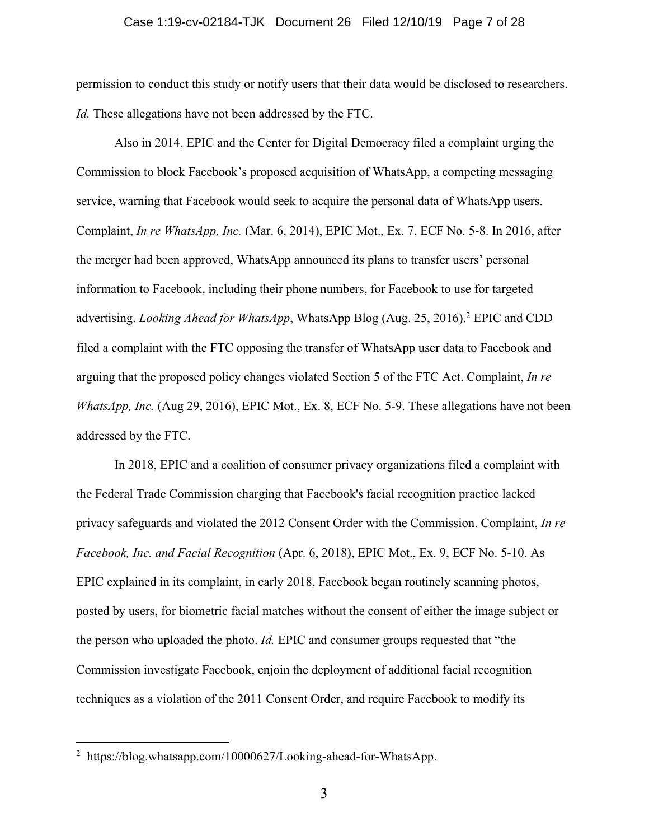### Case 1:19-cv-02184-TJK Document 26 Filed 12/10/19 Page 7 of 28

permission to conduct this study or notify users that their data would be disclosed to researchers. *Id.* These allegations have not been addressed by the FTC.

Also in 2014, EPIC and the Center for Digital Democracy filed a complaint urging the Commission to block Facebook's proposed acquisition of WhatsApp, a competing messaging service, warning that Facebook would seek to acquire the personal data of WhatsApp users. Complaint, *In re WhatsApp, Inc.* (Mar. 6, 2014), EPIC Mot., Ex. 7, ECF No. 5-8. In 2016, after the merger had been approved, WhatsApp announced its plans to transfer users' personal information to Facebook, including their phone numbers, for Facebook to use for targeted advertising. *Looking Ahead for WhatsApp*, WhatsApp Blog (Aug. 25, 2016). <sup>2</sup> EPIC and CDD filed a complaint with the FTC opposing the transfer of WhatsApp user data to Facebook and arguing that the proposed policy changes violated Section 5 of the FTC Act. Complaint, *In re WhatsApp, Inc.* (Aug 29, 2016), EPIC Mot., Ex. 8, ECF No. 5-9. These allegations have not been addressed by the FTC.

In 2018, EPIC and a coalition of consumer privacy organizations filed a complaint with the Federal Trade Commission charging that Facebook's facial recognition practice lacked privacy safeguards and violated the 2012 Consent Order with the Commission. Complaint, *In re Facebook, Inc. and Facial Recognition* (Apr. 6, 2018), EPIC Mot., Ex. 9, ECF No. 5-10. As EPIC explained in its complaint, in early 2018, Facebook began routinely scanning photos, posted by users, for biometric facial matches without the consent of either the image subject or the person who uploaded the photo. *Id.* EPIC and consumer groups requested that "the Commission investigate Facebook, enjoin the deployment of additional facial recognition techniques as a violation of the 2011 Consent Order, and require Facebook to modify its

<sup>2</sup> https://blog.whatsapp.com/10000627/Looking-ahead-for-WhatsApp.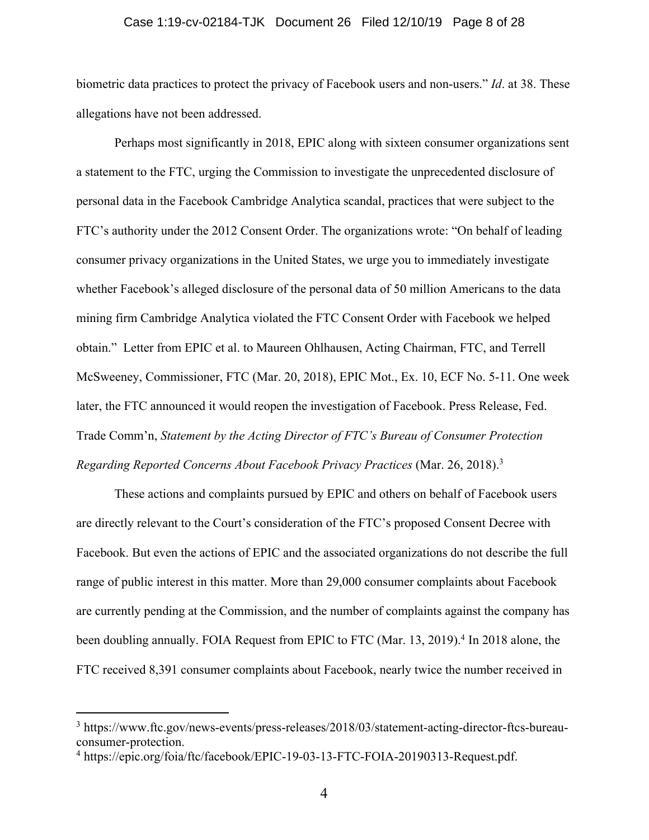#### Case 1:19-cv-02184-TJK Document 26 Filed 12/10/19 Page 8 of 28

biometric data practices to protect the privacy of Facebook users and non-users." *Id*. at 38. These allegations have not been addressed.

Perhaps most significantly in 2018, EPIC along with sixteen consumer organizations sent a statement to the FTC, urging the Commission to investigate the unprecedented disclosure of personal data in the Facebook Cambridge Analytica scandal, practices that were subject to the FTC's authority under the 2012 Consent Order. The organizations wrote: "On behalf of leading consumer privacy organizations in the United States, we urge you to immediately investigate whether Facebook's alleged disclosure of the personal data of 50 million Americans to the data mining firm Cambridge Analytica violated the FTC Consent Order with Facebook we helped obtain." Letter from EPIC et al. to Maureen Ohlhausen, Acting Chairman, FTC, and Terrell McSweeney, Commissioner, FTC (Mar. 20, 2018), EPIC Mot., Ex. 10, ECF No. 5-11. One week later, the FTC announced it would reopen the investigation of Facebook. Press Release, Fed. Trade Comm'n, *Statement by the Acting Director of FTC's Bureau of Consumer Protection Regarding Reported Concerns About Facebook Privacy Practices* (Mar. 26, 2018). 3

These actions and complaints pursued by EPIC and others on behalf of Facebook users are directly relevant to the Court's consideration of the FTC's proposed Consent Decree with Facebook. But even the actions of EPIC and the associated organizations do not describe the full range of public interest in this matter. More than 29,000 consumer complaints about Facebook are currently pending at the Commission, and the number of complaints against the company has been doubling annually. FOIA Request from EPIC to FTC (Mar. 13, 2019).<sup>4</sup> In 2018 alone, the FTC received 8,391 consumer complaints about Facebook, nearly twice the number received in

<sup>&</sup>lt;sup>3</sup> https://www.ftc.gov/news-events/press-releases/2018/03/statement-acting-director-ftcs-bureauconsumer-protection.

<sup>4</sup> https://epic.org/foia/ftc/facebook/EPIC-19-03-13-FTC-FOIA-20190313-Request.pdf.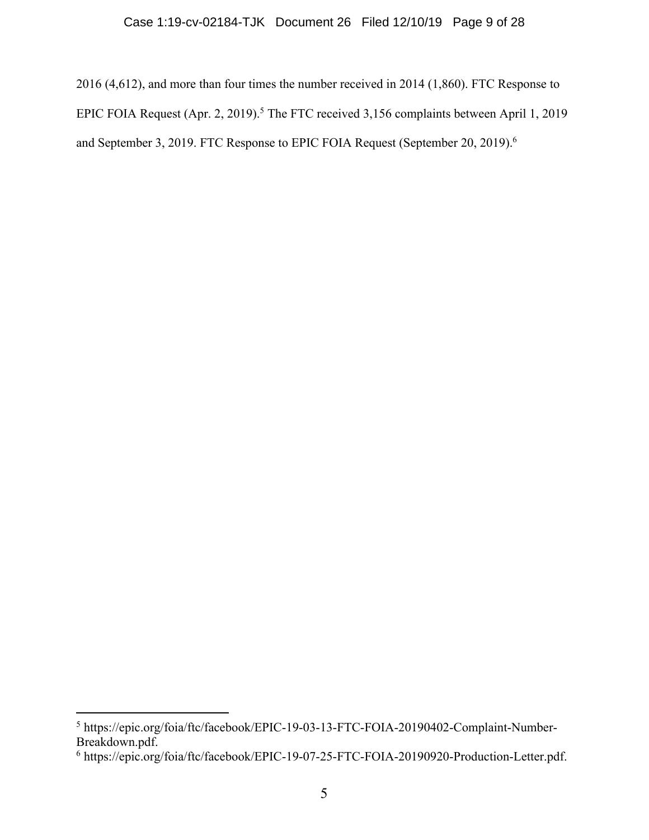2016 (4,612), and more than four times the number received in 2014 (1,860). FTC Response to EPIC FOIA Request (Apr. 2, 2019).<sup>5</sup> The FTC received 3,156 complaints between April 1, 2019 and September 3, 2019. FTC Response to EPIC FOIA Request (September 20, 2019).<sup>6</sup>

<sup>5</sup> https://epic.org/foia/ftc/facebook/EPIC-19-03-13-FTC-FOIA-20190402-Complaint-Number-Breakdown.pdf.

<sup>6</sup> https://epic.org/foia/ftc/facebook/EPIC-19-07-25-FTC-FOIA-20190920-Production-Letter.pdf.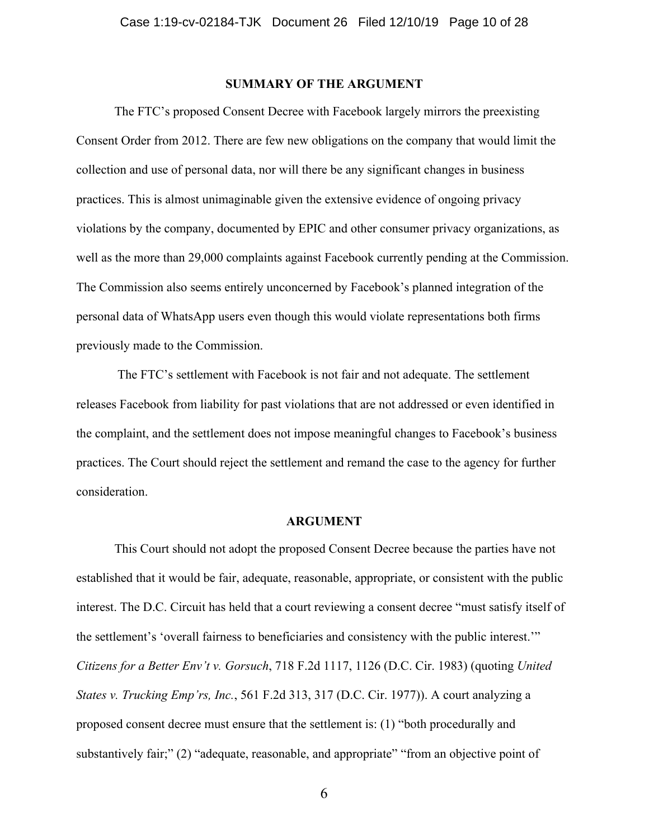### **SUMMARY OF THE ARGUMENT**

The FTC's proposed Consent Decree with Facebook largely mirrors the preexisting Consent Order from 2012. There are few new obligations on the company that would limit the collection and use of personal data, nor will there be any significant changes in business practices. This is almost unimaginable given the extensive evidence of ongoing privacy violations by the company, documented by EPIC and other consumer privacy organizations, as well as the more than 29,000 complaints against Facebook currently pending at the Commission. The Commission also seems entirely unconcerned by Facebook's planned integration of the personal data of WhatsApp users even though this would violate representations both firms previously made to the Commission.

The FTC's settlement with Facebook is not fair and not adequate. The settlement releases Facebook from liability for past violations that are not addressed or even identified in the complaint, and the settlement does not impose meaningful changes to Facebook's business practices. The Court should reject the settlement and remand the case to the agency for further consideration.

### **ARGUMENT**

This Court should not adopt the proposed Consent Decree because the parties have not established that it would be fair, adequate, reasonable, appropriate, or consistent with the public interest. The D.C. Circuit has held that a court reviewing a consent decree "must satisfy itself of the settlement's 'overall fairness to beneficiaries and consistency with the public interest.'" *Citizens for a Better Env't v. Gorsuch*, 718 F.2d 1117, 1126 (D.C. Cir. 1983) (quoting *United States v. Trucking Emp'rs, Inc.*, 561 F.2d 313, 317 (D.C. Cir. 1977)). A court analyzing a proposed consent decree must ensure that the settlement is: (1) "both procedurally and substantively fair;" (2) "adequate, reasonable, and appropriate" "from an objective point of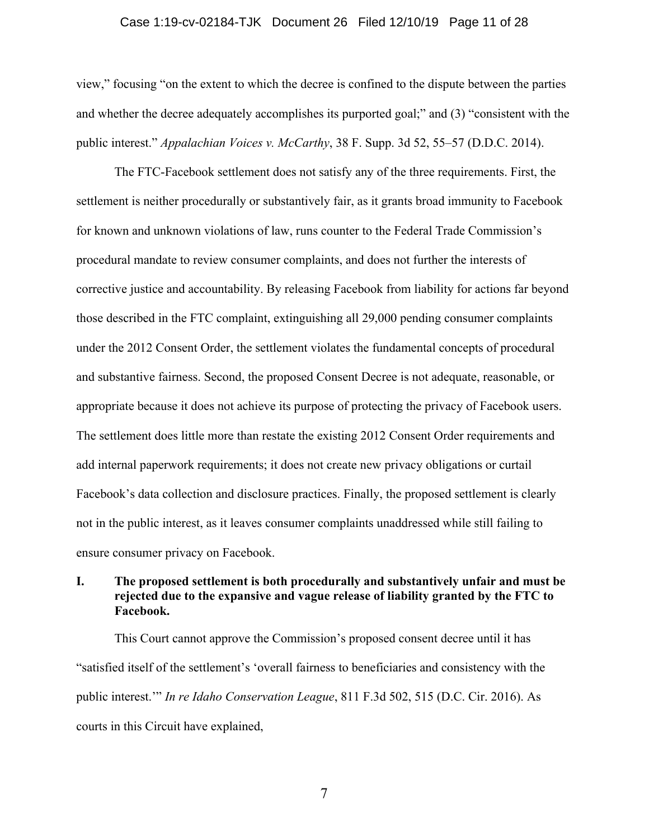#### Case 1:19-cv-02184-TJK Document 26 Filed 12/10/19 Page 11 of 28

view," focusing "on the extent to which the decree is confined to the dispute between the parties and whether the decree adequately accomplishes its purported goal;" and (3) "consistent with the public interest." *Appalachian Voices v. McCarthy*, 38 F. Supp. 3d 52, 55–57 (D.D.C. 2014).

The FTC-Facebook settlement does not satisfy any of the three requirements. First, the settlement is neither procedurally or substantively fair, as it grants broad immunity to Facebook for known and unknown violations of law, runs counter to the Federal Trade Commission's procedural mandate to review consumer complaints, and does not further the interests of corrective justice and accountability. By releasing Facebook from liability for actions far beyond those described in the FTC complaint, extinguishing all 29,000 pending consumer complaints under the 2012 Consent Order, the settlement violates the fundamental concepts of procedural and substantive fairness. Second, the proposed Consent Decree is not adequate, reasonable, or appropriate because it does not achieve its purpose of protecting the privacy of Facebook users. The settlement does little more than restate the existing 2012 Consent Order requirements and add internal paperwork requirements; it does not create new privacy obligations or curtail Facebook's data collection and disclosure practices. Finally, the proposed settlement is clearly not in the public interest, as it leaves consumer complaints unaddressed while still failing to ensure consumer privacy on Facebook.

### **I. The proposed settlement is both procedurally and substantively unfair and must be rejected due to the expansive and vague release of liability granted by the FTC to Facebook.**

This Court cannot approve the Commission's proposed consent decree until it has "satisfied itself of the settlement's 'overall fairness to beneficiaries and consistency with the public interest.'" *In re Idaho Conservation League*, 811 F.3d 502, 515 (D.C. Cir. 2016). As courts in this Circuit have explained,

7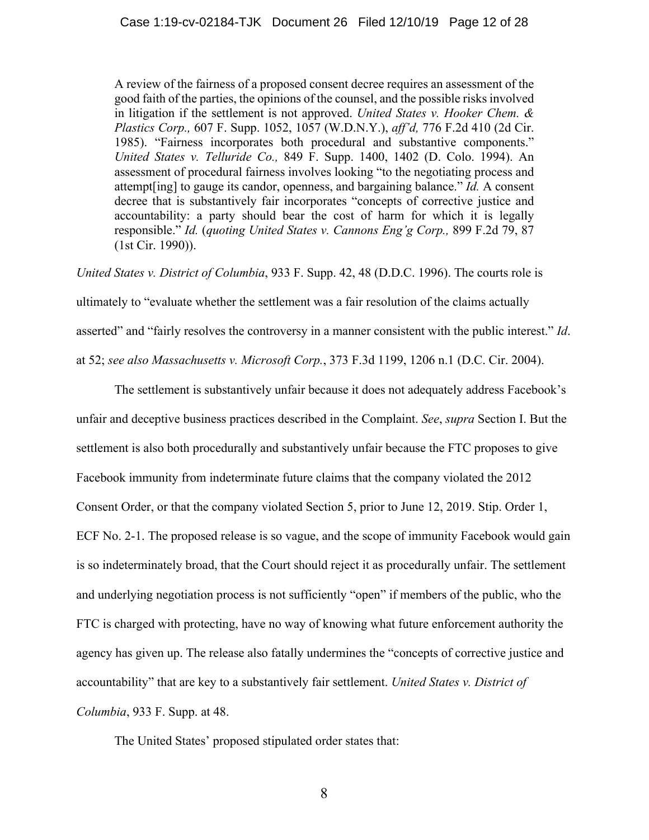A review of the fairness of a proposed consent decree requires an assessment of the good faith of the parties, the opinions of the counsel, and the possible risks involved in litigation if the settlement is not approved. *United States v. Hooker Chem. & Plastics Corp.,* 607 F. Supp. 1052, 1057 (W.D.N.Y.), *aff'd,* 776 F.2d 410 (2d Cir. 1985). "Fairness incorporates both procedural and substantive components." *United States v. Telluride Co.,* 849 F. Supp. 1400, 1402 (D. Colo. 1994). An assessment of procedural fairness involves looking "to the negotiating process and attempt[ing] to gauge its candor, openness, and bargaining balance." *Id.* A consent decree that is substantively fair incorporates "concepts of corrective justice and accountability: a party should bear the cost of harm for which it is legally responsible." *Id.* (*quoting United States v. Cannons Eng'g Corp.,* 899 F.2d 79, 87 (1st Cir. 1990)).

*United States v. District of Columbia*, 933 F. Supp. 42, 48 (D.D.C. 1996). The courts role is

ultimately to "evaluate whether the settlement was a fair resolution of the claims actually asserted" and "fairly resolves the controversy in a manner consistent with the public interest." *Id*. at 52; *see also Massachusetts v. Microsoft Corp.*, 373 F.3d 1199, 1206 n.1 (D.C. Cir. 2004).

The settlement is substantively unfair because it does not adequately address Facebook's unfair and deceptive business practices described in the Complaint. *See*, *supra* Section I. But the settlement is also both procedurally and substantively unfair because the FTC proposes to give Facebook immunity from indeterminate future claims that the company violated the 2012 Consent Order, or that the company violated Section 5, prior to June 12, 2019. Stip. Order 1, ECF No. 2-1. The proposed release is so vague, and the scope of immunity Facebook would gain is so indeterminately broad, that the Court should reject it as procedurally unfair. The settlement and underlying negotiation process is not sufficiently "open" if members of the public, who the FTC is charged with protecting, have no way of knowing what future enforcement authority the agency has given up. The release also fatally undermines the "concepts of corrective justice and accountability" that are key to a substantively fair settlement. *United States v. District of Columbia*, 933 F. Supp. at 48.

The United States' proposed stipulated order states that: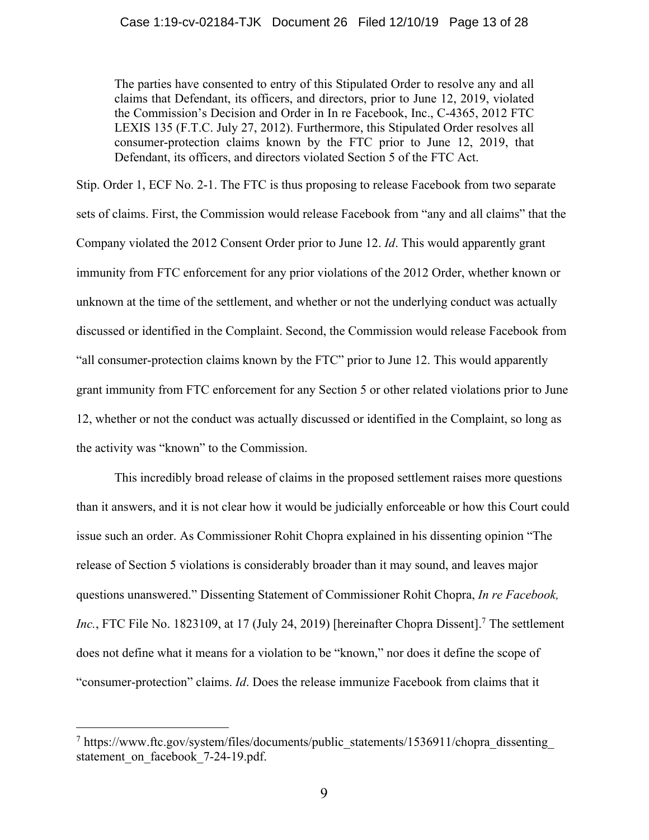The parties have consented to entry of this Stipulated Order to resolve any and all claims that Defendant, its officers, and directors, prior to June 12, 2019, violated the Commission's Decision and Order in In re Facebook, Inc., C-4365, 2012 FTC LEXIS 135 (F.T.C. July 27, 2012). Furthermore, this Stipulated Order resolves all consumer-protection claims known by the FTC prior to June 12, 2019, that Defendant, its officers, and directors violated Section 5 of the FTC Act.

Stip. Order 1, ECF No. 2-1. The FTC is thus proposing to release Facebook from two separate sets of claims. First, the Commission would release Facebook from "any and all claims" that the Company violated the 2012 Consent Order prior to June 12. *Id*. This would apparently grant immunity from FTC enforcement for any prior violations of the 2012 Order, whether known or unknown at the time of the settlement, and whether or not the underlying conduct was actually discussed or identified in the Complaint. Second, the Commission would release Facebook from "all consumer-protection claims known by the FTC" prior to June 12. This would apparently grant immunity from FTC enforcement for any Section 5 or other related violations prior to June 12, whether or not the conduct was actually discussed or identified in the Complaint, so long as the activity was "known" to the Commission.

This incredibly broad release of claims in the proposed settlement raises more questions than it answers, and it is not clear how it would be judicially enforceable or how this Court could issue such an order. As Commissioner Rohit Chopra explained in his dissenting opinion "The release of Section 5 violations is considerably broader than it may sound, and leaves major questions unanswered." Dissenting Statement of Commissioner Rohit Chopra, *In re Facebook,*  Inc., FTC File No. 1823109, at 17 (July 24, 2019) [hereinafter Chopra Dissent].<sup>7</sup> The settlement does not define what it means for a violation to be "known," nor does it define the scope of "consumer-protection" claims. *Id*. Does the release immunize Facebook from claims that it

<sup>&</sup>lt;sup>7</sup> https://www.ftc.gov/system/files/documents/public\_statements/1536911/chopra\_dissenting statement on facebook 7-24-19.pdf.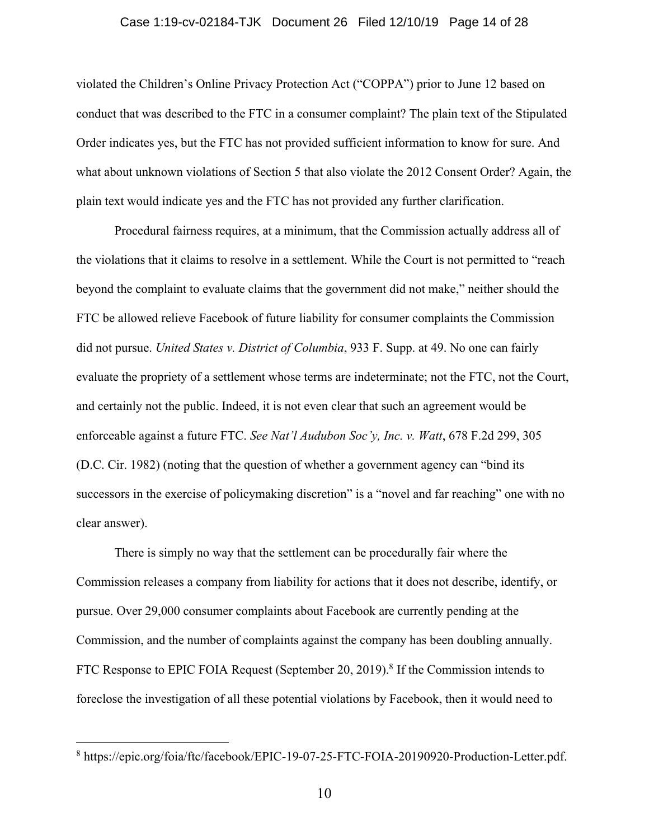#### Case 1:19-cv-02184-TJK Document 26 Filed 12/10/19 Page 14 of 28

violated the Children's Online Privacy Protection Act ("COPPA") prior to June 12 based on conduct that was described to the FTC in a consumer complaint? The plain text of the Stipulated Order indicates yes, but the FTC has not provided sufficient information to know for sure. And what about unknown violations of Section 5 that also violate the 2012 Consent Order? Again, the plain text would indicate yes and the FTC has not provided any further clarification.

Procedural fairness requires, at a minimum, that the Commission actually address all of the violations that it claims to resolve in a settlement. While the Court is not permitted to "reach beyond the complaint to evaluate claims that the government did not make," neither should the FTC be allowed relieve Facebook of future liability for consumer complaints the Commission did not pursue. *United States v. District of Columbia*, 933 F. Supp. at 49. No one can fairly evaluate the propriety of a settlement whose terms are indeterminate; not the FTC, not the Court, and certainly not the public. Indeed, it is not even clear that such an agreement would be enforceable against a future FTC. *See Nat'l Audubon Soc'y, Inc. v. Watt*, 678 F.2d 299, 305 (D.C. Cir. 1982) (noting that the question of whether a government agency can "bind its successors in the exercise of policymaking discretion" is a "novel and far reaching" one with no clear answer).

There is simply no way that the settlement can be procedurally fair where the Commission releases a company from liability for actions that it does not describe, identify, or pursue. Over 29,000 consumer complaints about Facebook are currently pending at the Commission, and the number of complaints against the company has been doubling annually. FTC Response to EPIC FOIA Request (September 20, 2019).<sup>8</sup> If the Commission intends to foreclose the investigation of all these potential violations by Facebook, then it would need to

<sup>8</sup> https://epic.org/foia/ftc/facebook/EPIC-19-07-25-FTC-FOIA-20190920-Production-Letter.pdf.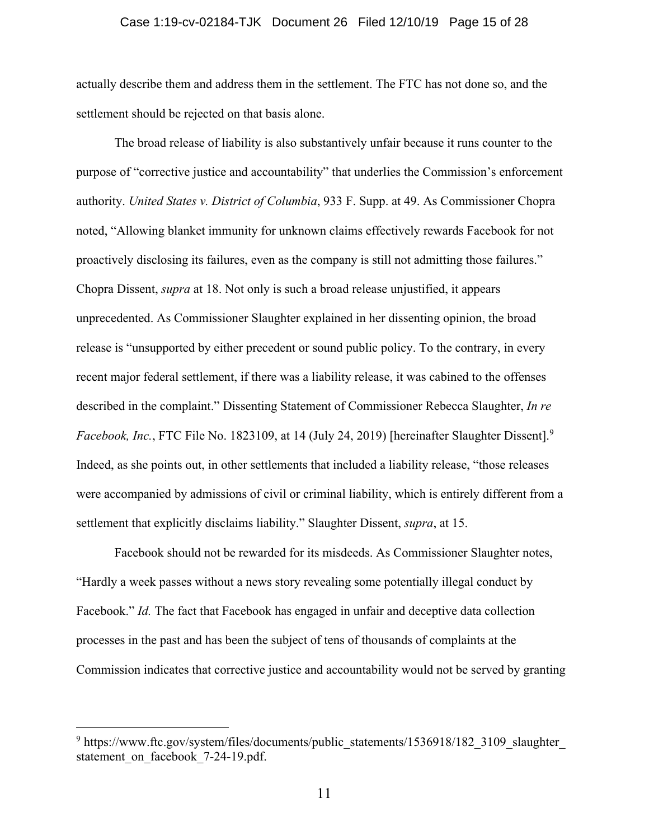#### Case 1:19-cv-02184-TJK Document 26 Filed 12/10/19 Page 15 of 28

actually describe them and address them in the settlement. The FTC has not done so, and the settlement should be rejected on that basis alone.

The broad release of liability is also substantively unfair because it runs counter to the purpose of "corrective justice and accountability" that underlies the Commission's enforcement authority. *United States v. District of Columbia*, 933 F. Supp. at 49. As Commissioner Chopra noted, "Allowing blanket immunity for unknown claims effectively rewards Facebook for not proactively disclosing its failures, even as the company is still not admitting those failures." Chopra Dissent, *supra* at 18. Not only is such a broad release unjustified, it appears unprecedented. As Commissioner Slaughter explained in her dissenting opinion, the broad release is "unsupported by either precedent or sound public policy. To the contrary, in every recent major federal settlement, if there was a liability release, it was cabined to the offenses described in the complaint." Dissenting Statement of Commissioner Rebecca Slaughter, *In re Facebook, Inc.*, FTC File No. 1823109, at 14 (July 24, 2019) [hereinafter Slaughter Dissent]. 9 Indeed, as she points out, in other settlements that included a liability release, "those releases were accompanied by admissions of civil or criminal liability, which is entirely different from a settlement that explicitly disclaims liability." Slaughter Dissent, *supra*, at 15.

Facebook should not be rewarded for its misdeeds. As Commissioner Slaughter notes, "Hardly a week passes without a news story revealing some potentially illegal conduct by Facebook." *Id.* The fact that Facebook has engaged in unfair and deceptive data collection processes in the past and has been the subject of tens of thousands of complaints at the Commission indicates that corrective justice and accountability would not be served by granting

<sup>&</sup>lt;sup>9</sup> https://www.ftc.gov/system/files/documents/public\_statements/1536918/182\_3109\_slaughter statement on facebook 7-24-19.pdf.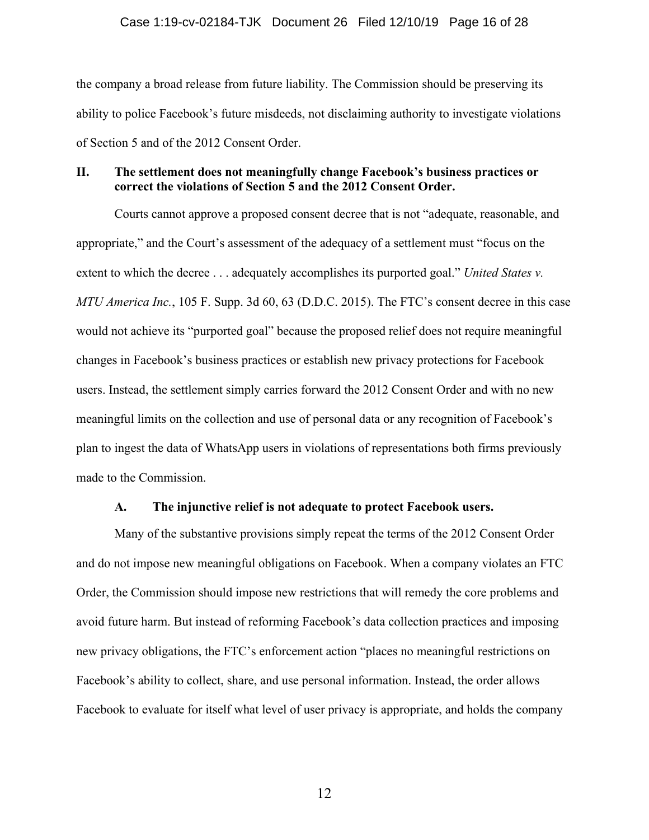### Case 1:19-cv-02184-TJK Document 26 Filed 12/10/19 Page 16 of 28

the company a broad release from future liability. The Commission should be preserving its ability to police Facebook's future misdeeds, not disclaiming authority to investigate violations of Section 5 and of the 2012 Consent Order.

### **II. The settlement does not meaningfully change Facebook's business practices or correct the violations of Section 5 and the 2012 Consent Order.**

Courts cannot approve a proposed consent decree that is not "adequate, reasonable, and appropriate," and the Court's assessment of the adequacy of a settlement must "focus on the extent to which the decree . . . adequately accomplishes its purported goal." *United States v. MTU America Inc.*, 105 F. Supp. 3d 60, 63 (D.D.C. 2015). The FTC's consent decree in this case would not achieve its "purported goal" because the proposed relief does not require meaningful changes in Facebook's business practices or establish new privacy protections for Facebook users. Instead, the settlement simply carries forward the 2012 Consent Order and with no new meaningful limits on the collection and use of personal data or any recognition of Facebook's plan to ingest the data of WhatsApp users in violations of representations both firms previously made to the Commission.

### **A. The injunctive relief is not adequate to protect Facebook users.**

Many of the substantive provisions simply repeat the terms of the 2012 Consent Order and do not impose new meaningful obligations on Facebook. When a company violates an FTC Order, the Commission should impose new restrictions that will remedy the core problems and avoid future harm. But instead of reforming Facebook's data collection practices and imposing new privacy obligations, the FTC's enforcement action "places no meaningful restrictions on Facebook's ability to collect, share, and use personal information. Instead, the order allows Facebook to evaluate for itself what level of user privacy is appropriate, and holds the company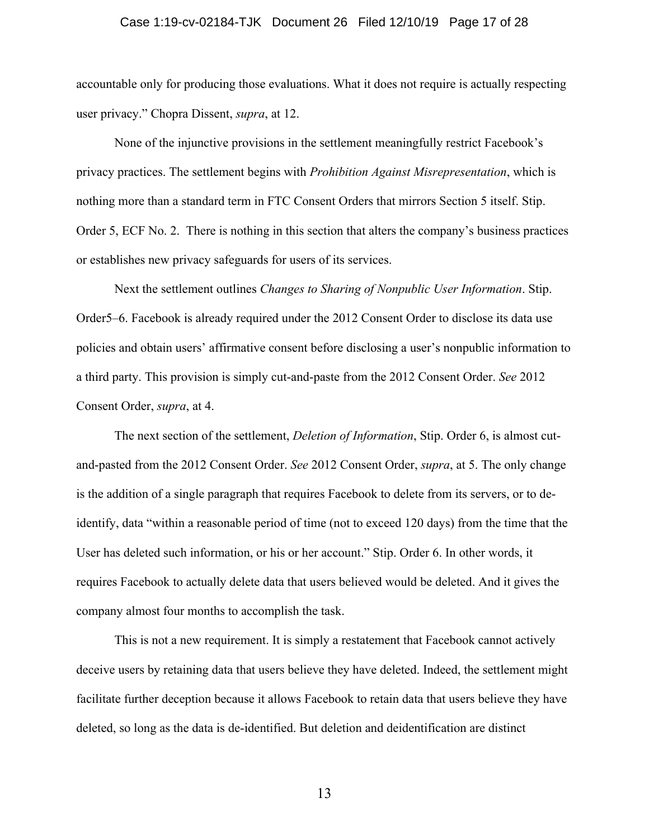#### Case 1:19-cv-02184-TJK Document 26 Filed 12/10/19 Page 17 of 28

accountable only for producing those evaluations. What it does not require is actually respecting user privacy." Chopra Dissent, *supra*, at 12.

None of the injunctive provisions in the settlement meaningfully restrict Facebook's privacy practices. The settlement begins with *Prohibition Against Misrepresentation*, which is nothing more than a standard term in FTC Consent Orders that mirrors Section 5 itself. Stip. Order 5, ECF No. 2. There is nothing in this section that alters the company's business practices or establishes new privacy safeguards for users of its services.

Next the settlement outlines *Changes to Sharing of Nonpublic User Information*. Stip. Order5–6. Facebook is already required under the 2012 Consent Order to disclose its data use policies and obtain users' affirmative consent before disclosing a user's nonpublic information to a third party. This provision is simply cut-and-paste from the 2012 Consent Order. *See* 2012 Consent Order, *supra*, at 4.

The next section of the settlement, *Deletion of Information*, Stip. Order 6, is almost cutand-pasted from the 2012 Consent Order. *See* 2012 Consent Order, *supra*, at 5. The only change is the addition of a single paragraph that requires Facebook to delete from its servers, or to deidentify, data "within a reasonable period of time (not to exceed 120 days) from the time that the User has deleted such information, or his or her account." Stip. Order 6. In other words, it requires Facebook to actually delete data that users believed would be deleted. And it gives the company almost four months to accomplish the task.

This is not a new requirement. It is simply a restatement that Facebook cannot actively deceive users by retaining data that users believe they have deleted. Indeed, the settlement might facilitate further deception because it allows Facebook to retain data that users believe they have deleted, so long as the data is de-identified. But deletion and deidentification are distinct

13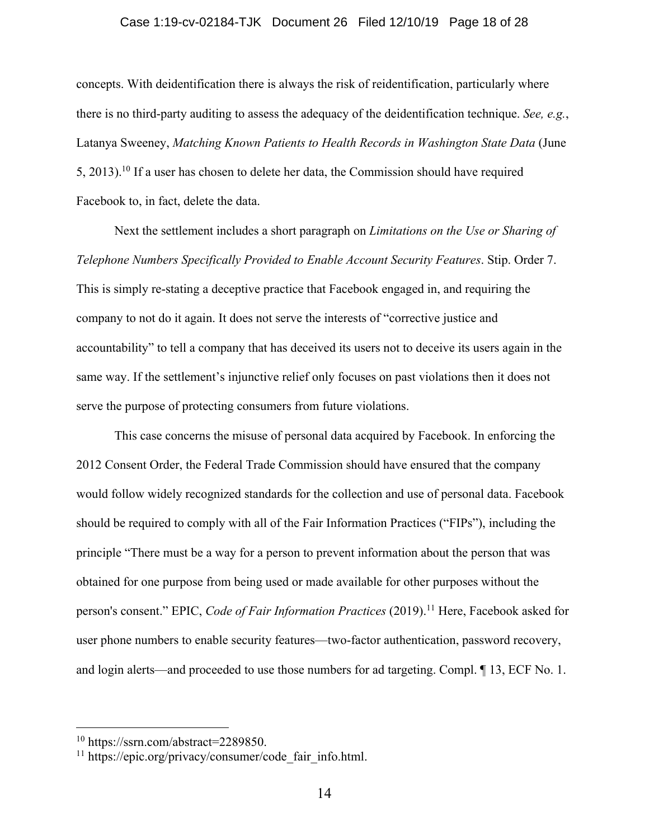#### Case 1:19-cv-02184-TJK Document 26 Filed 12/10/19 Page 18 of 28

concepts. With deidentification there is always the risk of reidentification, particularly where there is no third-party auditing to assess the adequacy of the deidentification technique. *See, e.g.*, Latanya Sweeney, *Matching Known Patients to Health Records in Washington State Data* (June 5, 2013).<sup>10</sup> If a user has chosen to delete her data, the Commission should have required Facebook to, in fact, delete the data.

Next the settlement includes a short paragraph on *Limitations on the Use or Sharing of Telephone Numbers Specifically Provided to Enable Account Security Features*. Stip. Order 7. This is simply re-stating a deceptive practice that Facebook engaged in, and requiring the company to not do it again. It does not serve the interests of "corrective justice and accountability" to tell a company that has deceived its users not to deceive its users again in the same way. If the settlement's injunctive relief only focuses on past violations then it does not serve the purpose of protecting consumers from future violations.

This case concerns the misuse of personal data acquired by Facebook. In enforcing the 2012 Consent Order, the Federal Trade Commission should have ensured that the company would follow widely recognized standards for the collection and use of personal data. Facebook should be required to comply with all of the Fair Information Practices ("FIPs"), including the principle "There must be a way for a person to prevent information about the person that was obtained for one purpose from being used or made available for other purposes without the person's consent." EPIC, *Code of Fair Information Practices* (2019). <sup>11</sup> Here, Facebook asked for user phone numbers to enable security features—two-factor authentication, password recovery, and login alerts—and proceeded to use those numbers for ad targeting. Compl. ¶ 13, ECF No. 1.

<sup>10</sup> https://ssrn.com/abstract=2289850.

 $11$  https://epic.org/privacy/consumer/code fair info.html.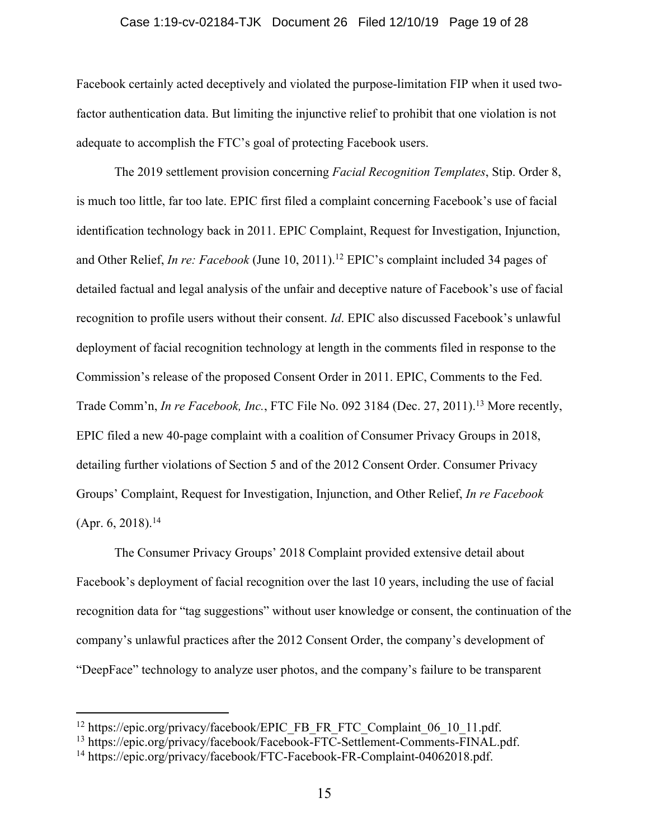#### Case 1:19-cv-02184-TJK Document 26 Filed 12/10/19 Page 19 of 28

Facebook certainly acted deceptively and violated the purpose-limitation FIP when it used twofactor authentication data. But limiting the injunctive relief to prohibit that one violation is not adequate to accomplish the FTC's goal of protecting Facebook users.

The 2019 settlement provision concerning *Facial Recognition Templates*, Stip. Order 8, is much too little, far too late. EPIC first filed a complaint concerning Facebook's use of facial identification technology back in 2011. EPIC Complaint, Request for Investigation, Injunction, and Other Relief, *In re: Facebook* (June 10, 2011). <sup>12</sup> EPIC's complaint included 34 pages of detailed factual and legal analysis of the unfair and deceptive nature of Facebook's use of facial recognition to profile users without their consent. *Id*. EPIC also discussed Facebook's unlawful deployment of facial recognition technology at length in the comments filed in response to the Commission's release of the proposed Consent Order in 2011. EPIC, Comments to the Fed. Trade Comm'n, *In re Facebook, Inc.*, FTC File No. 092 3184 (Dec. 27, 2011).<sup>13</sup> More recently, EPIC filed a new 40-page complaint with a coalition of Consumer Privacy Groups in 2018, detailing further violations of Section 5 and of the 2012 Consent Order. Consumer Privacy Groups' Complaint, Request for Investigation, Injunction, and Other Relief, *In re Facebook* (Apr. 6, 2018). 14

The Consumer Privacy Groups' 2018 Complaint provided extensive detail about Facebook's deployment of facial recognition over the last 10 years, including the use of facial recognition data for "tag suggestions" without user knowledge or consent, the continuation of the company's unlawful practices after the 2012 Consent Order, the company's development of "DeepFace" technology to analyze user photos, and the company's failure to be transparent

<sup>&</sup>lt;sup>12</sup> https://epic.org/privacy/facebook/EPIC\_FB\_FR\_FTC\_Complaint\_06\_10\_11.pdf.

<sup>13</sup> https://epic.org/privacy/facebook/Facebook-FTC-Settlement-Comments-FINAL.pdf.

<sup>14</sup> https://epic.org/privacy/facebook/FTC-Facebook-FR-Complaint-04062018.pdf.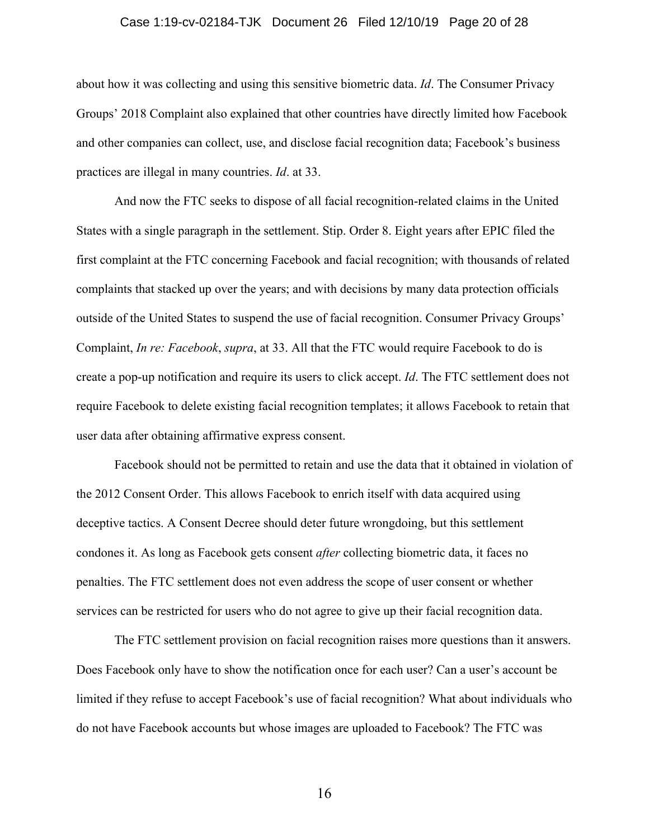#### Case 1:19-cv-02184-TJK Document 26 Filed 12/10/19 Page 20 of 28

about how it was collecting and using this sensitive biometric data. *Id*. The Consumer Privacy Groups' 2018 Complaint also explained that other countries have directly limited how Facebook and other companies can collect, use, and disclose facial recognition data; Facebook's business practices are illegal in many countries. *Id*. at 33.

And now the FTC seeks to dispose of all facial recognition-related claims in the United States with a single paragraph in the settlement. Stip. Order 8. Eight years after EPIC filed the first complaint at the FTC concerning Facebook and facial recognition; with thousands of related complaints that stacked up over the years; and with decisions by many data protection officials outside of the United States to suspend the use of facial recognition. Consumer Privacy Groups' Complaint, *In re: Facebook*, *supra*, at 33. All that the FTC would require Facebook to do is create a pop-up notification and require its users to click accept. *Id*. The FTC settlement does not require Facebook to delete existing facial recognition templates; it allows Facebook to retain that user data after obtaining affirmative express consent.

Facebook should not be permitted to retain and use the data that it obtained in violation of the 2012 Consent Order. This allows Facebook to enrich itself with data acquired using deceptive tactics. A Consent Decree should deter future wrongdoing, but this settlement condones it. As long as Facebook gets consent *after* collecting biometric data, it faces no penalties. The FTC settlement does not even address the scope of user consent or whether services can be restricted for users who do not agree to give up their facial recognition data.

The FTC settlement provision on facial recognition raises more questions than it answers. Does Facebook only have to show the notification once for each user? Can a user's account be limited if they refuse to accept Facebook's use of facial recognition? What about individuals who do not have Facebook accounts but whose images are uploaded to Facebook? The FTC was

16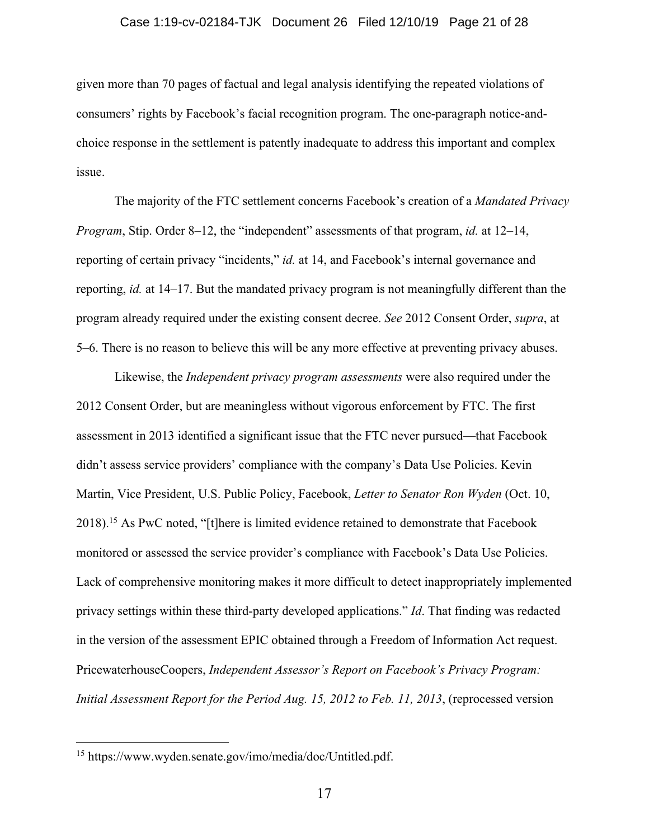#### Case 1:19-cv-02184-TJK Document 26 Filed 12/10/19 Page 21 of 28

given more than 70 pages of factual and legal analysis identifying the repeated violations of consumers' rights by Facebook's facial recognition program. The one-paragraph notice-andchoice response in the settlement is patently inadequate to address this important and complex issue.

The majority of the FTC settlement concerns Facebook's creation of a *Mandated Privacy Program*, Stip. Order 8–12, the "independent" assessments of that program, *id.* at 12–14, reporting of certain privacy "incidents," *id.* at 14, and Facebook's internal governance and reporting, *id.* at 14–17. But the mandated privacy program is not meaningfully different than the program already required under the existing consent decree. *See* 2012 Consent Order, *supra*, at 5–6. There is no reason to believe this will be any more effective at preventing privacy abuses.

Likewise, the *Independent privacy program assessments* were also required under the 2012 Consent Order, but are meaningless without vigorous enforcement by FTC. The first assessment in 2013 identified a significant issue that the FTC never pursued—that Facebook didn't assess service providers' compliance with the company's Data Use Policies. Kevin Martin, Vice President, U.S. Public Policy, Facebook, *Letter to Senator Ron Wyden* (Oct. 10, 2018).<sup>15</sup> As PwC noted, "[t]here is limited evidence retained to demonstrate that Facebook monitored or assessed the service provider's compliance with Facebook's Data Use Policies. Lack of comprehensive monitoring makes it more difficult to detect inappropriately implemented privacy settings within these third-party developed applications." *Id*. That finding was redacted in the version of the assessment EPIC obtained through a Freedom of Information Act request. PricewaterhouseCoopers, *Independent Assessor's Report on Facebook's Privacy Program: Initial Assessment Report for the Period Aug. 15, 2012 to Feb. 11, 2013*, (reprocessed version

<sup>15</sup> https://www.wyden.senate.gov/imo/media/doc/Untitled.pdf.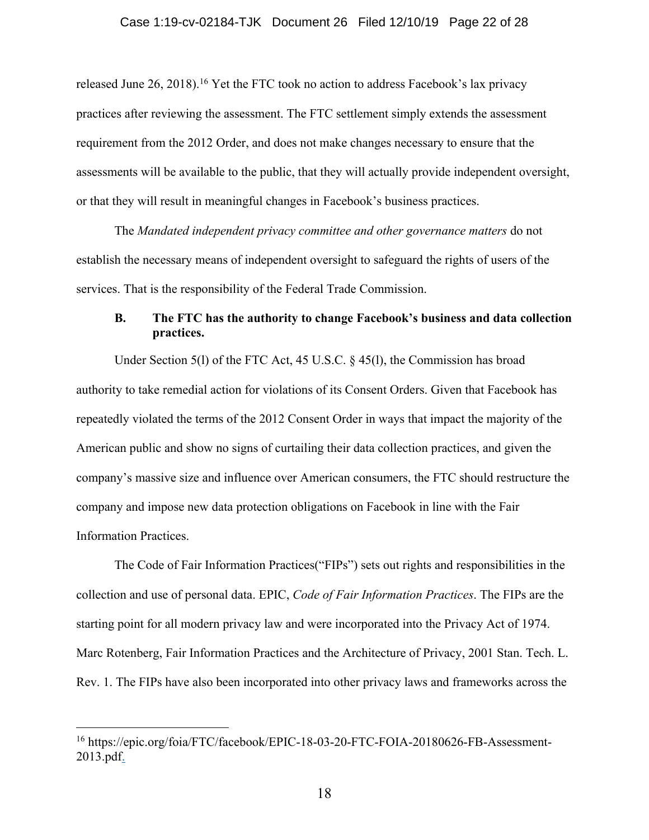released June 26, 2018).<sup>16</sup> Yet the FTC took no action to address Facebook's lax privacy practices after reviewing the assessment. The FTC settlement simply extends the assessment requirement from the 2012 Order, and does not make changes necessary to ensure that the assessments will be available to the public, that they will actually provide independent oversight, or that they will result in meaningful changes in Facebook's business practices.

The *Mandated independent privacy committee and other governance matters* do not establish the necessary means of independent oversight to safeguard the rights of users of the services. That is the responsibility of the Federal Trade Commission.

### **B. The FTC has the authority to change Facebook's business and data collection practices.**

Under Section 5(l) of the FTC Act, 45 U.S.C. § 45(l), the Commission has broad authority to take remedial action for violations of its Consent Orders. Given that Facebook has repeatedly violated the terms of the 2012 Consent Order in ways that impact the majority of the American public and show no signs of curtailing their data collection practices, and given the company's massive size and influence over American consumers, the FTC should restructure the company and impose new data protection obligations on Facebook in line with the Fair Information Practices.

The Code of Fair Information Practices("FIPs") sets out rights and responsibilities in the collection and use of personal data. EPIC, *Code of Fair Information Practices*. The FIPs are the starting point for all modern privacy law and were incorporated into the Privacy Act of 1974. Marc Rotenberg, Fair Information Practices and the Architecture of Privacy, 2001 Stan. Tech. L. Rev. 1. The FIPs have also been incorporated into other privacy laws and frameworks across the

<sup>16</sup> https://epic.org/foia/FTC/facebook/EPIC-18-03-20-FTC-FOIA-20180626-FB-Assessment-2013.pdf.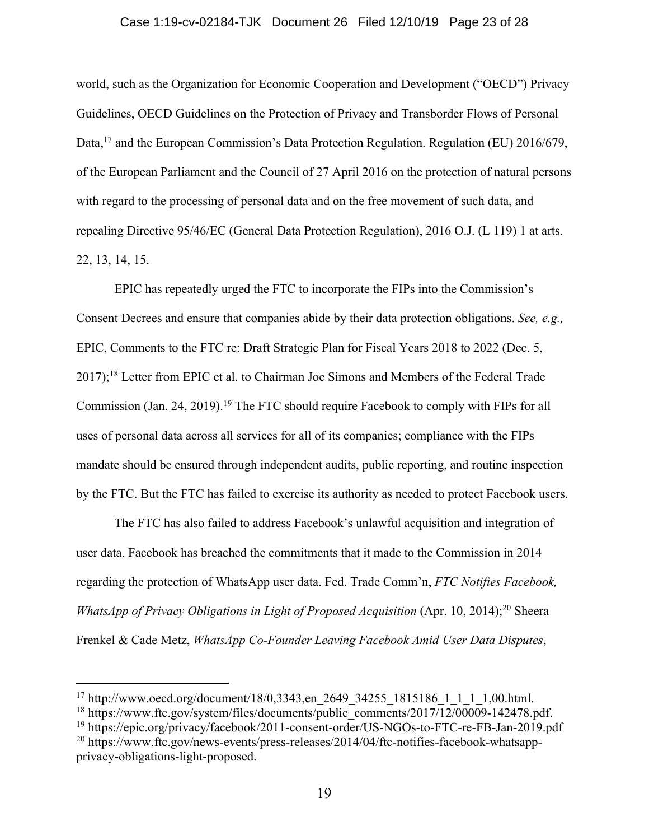### Case 1:19-cv-02184-TJK Document 26 Filed 12/10/19 Page 23 of 28

world, such as the Organization for Economic Cooperation and Development ("OECD") Privacy Guidelines, OECD Guidelines on the Protection of Privacy and Transborder Flows of Personal Data,<sup>17</sup> and the European Commission's Data Protection Regulation. Regulation (EU) 2016/679, of the European Parliament and the Council of 27 April 2016 on the protection of natural persons with regard to the processing of personal data and on the free movement of such data, and repealing Directive 95/46/EC (General Data Protection Regulation), 2016 O.J. (L 119) 1 at arts. 22, 13, 14, 15.

EPIC has repeatedly urged the FTC to incorporate the FIPs into the Commission's Consent Decrees and ensure that companies abide by their data protection obligations. *See, e.g.,*  EPIC, Comments to the FTC re: Draft Strategic Plan for Fiscal Years 2018 to 2022 (Dec. 5, 2017);<sup>18</sup> Letter from EPIC et al. to Chairman Joe Simons and Members of the Federal Trade Commission (Jan. 24, 2019).<sup>19</sup> The FTC should require Facebook to comply with FIPs for all uses of personal data across all services for all of its companies; compliance with the FIPs mandate should be ensured through independent audits, public reporting, and routine inspection by the FTC. But the FTC has failed to exercise its authority as needed to protect Facebook users.

The FTC has also failed to address Facebook's unlawful acquisition and integration of user data. Facebook has breached the commitments that it made to the Commission in 2014 regarding the protection of WhatsApp user data. Fed. Trade Comm'n, *FTC Notifies Facebook, WhatsApp of Privacy Obligations in Light of Proposed Acquisition* (Apr. 10, 2014); <sup>20</sup> Sheera Frenkel & Cade Metz, *WhatsApp Co-Founder Leaving Facebook Amid User Data Disputes*,

<sup>17</sup> http://www.oecd.org/document/18/0,3343,en\_2649\_34255\_1815186\_1\_1\_1\_1,00.html.

<sup>&</sup>lt;sup>18</sup> https://www.ftc.gov/system/files/documents/public\_comments/2017/12/00009-142478.pdf.

<sup>&</sup>lt;sup>19</sup> https://epic.org/privacy/facebook/2011-consent-order/US-NGOs-to-FTC-re-FB-Jan-2019.pdf

<sup>20</sup> https://www.ftc.gov/news-events/press-releases/2014/04/ftc-notifies-facebook-whatsappprivacy-obligations-light-proposed.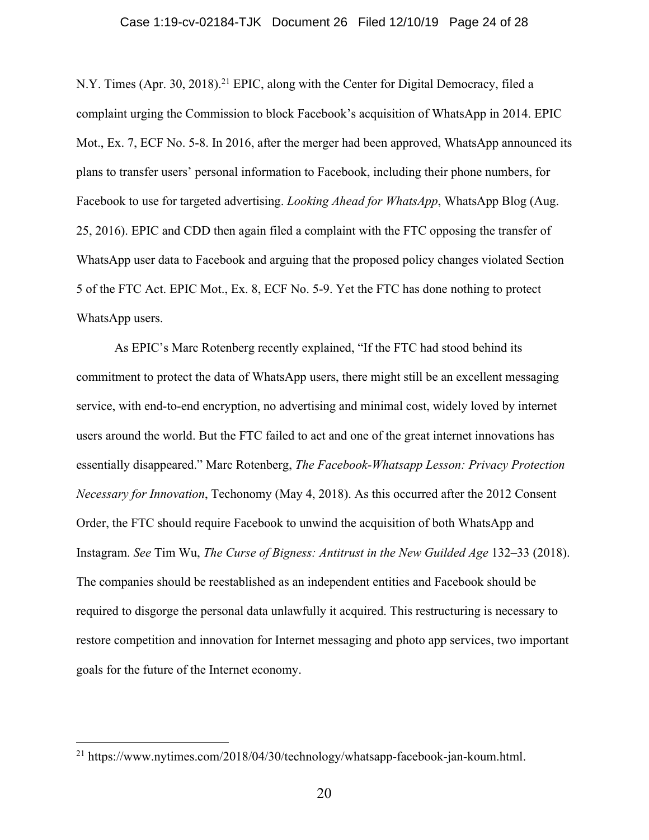#### Case 1:19-cv-02184-TJK Document 26 Filed 12/10/19 Page 24 of 28

N.Y. Times (Apr. 30, 2018).<sup>21</sup> EPIC, along with the Center for Digital Democracy, filed a complaint urging the Commission to block Facebook's acquisition of WhatsApp in 2014. EPIC Mot., Ex. 7, ECF No. 5-8. In 2016, after the merger had been approved, WhatsApp announced its plans to transfer users' personal information to Facebook, including their phone numbers, for Facebook to use for targeted advertising. *Looking Ahead for WhatsApp*, WhatsApp Blog (Aug. 25, 2016). EPIC and CDD then again filed a complaint with the FTC opposing the transfer of WhatsApp user data to Facebook and arguing that the proposed policy changes violated Section 5 of the FTC Act. EPIC Mot., Ex. 8, ECF No. 5-9. Yet the FTC has done nothing to protect WhatsApp users.

As EPIC's Marc Rotenberg recently explained, "If the FTC had stood behind its commitment to protect the data of WhatsApp users, there might still be an excellent messaging service, with end-to-end encryption, no advertising and minimal cost, widely loved by internet users around the world. But the FTC failed to act and one of the great internet innovations has essentially disappeared." Marc Rotenberg, *The Facebook-Whatsapp Lesson: Privacy Protection Necessary for Innovation*, Techonomy (May 4, 2018). As this occurred after the 2012 Consent Order, the FTC should require Facebook to unwind the acquisition of both WhatsApp and Instagram. *See* Tim Wu, *The Curse of Bigness: Antitrust in the New Guilded Age* 132–33 (2018). The companies should be reestablished as an independent entities and Facebook should be required to disgorge the personal data unlawfully it acquired. This restructuring is necessary to restore competition and innovation for Internet messaging and photo app services, two important goals for the future of the Internet economy.

<sup>21</sup> https://www.nytimes.com/2018/04/30/technology/whatsapp-facebook-jan-koum.html.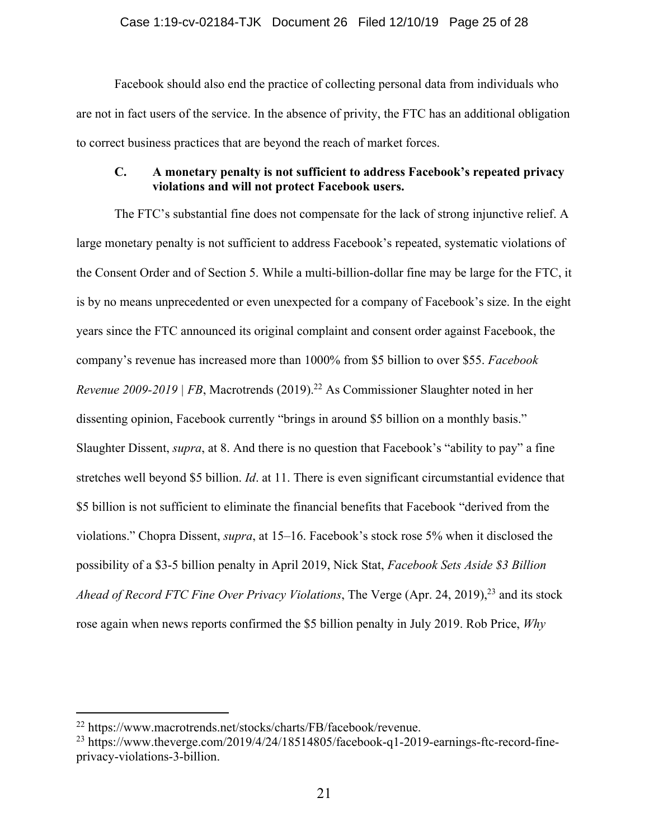Facebook should also end the practice of collecting personal data from individuals who are not in fact users of the service. In the absence of privity, the FTC has an additional obligation to correct business practices that are beyond the reach of market forces.

### **C. A monetary penalty is not sufficient to address Facebook's repeated privacy violations and will not protect Facebook users.**

The FTC's substantial fine does not compensate for the lack of strong injunctive relief. A large monetary penalty is not sufficient to address Facebook's repeated, systematic violations of the Consent Order and of Section 5. While a multi-billion-dollar fine may be large for the FTC, it is by no means unprecedented or even unexpected for a company of Facebook's size. In the eight years since the FTC announced its original complaint and consent order against Facebook, the company's revenue has increased more than 1000% from \$5 billion to over \$55. *Facebook Revenue 2009-2019 | FB*, Macrotrends (2019). <sup>22</sup> As Commissioner Slaughter noted in her dissenting opinion, Facebook currently "brings in around \$5 billion on a monthly basis." Slaughter Dissent, *supra*, at 8. And there is no question that Facebook's "ability to pay" a fine stretches well beyond \$5 billion. *Id*. at 11. There is even significant circumstantial evidence that \$5 billion is not sufficient to eliminate the financial benefits that Facebook "derived from the violations." Chopra Dissent, *supra*, at 15–16. Facebook's stock rose 5% when it disclosed the possibility of a \$3-5 billion penalty in April 2019, Nick Stat, *Facebook Sets Aside \$3 Billion Ahead of Record FTC Fine Over Privacy Violations*, The Verge (Apr. 24, 2019), <sup>23</sup> and its stock rose again when news reports confirmed the \$5 billion penalty in July 2019. Rob Price, *Why* 

<sup>22</sup> https://www.macrotrends.net/stocks/charts/FB/facebook/revenue.

<sup>&</sup>lt;sup>23</sup> https://www.theverge.com/2019/4/24/18514805/facebook-q1-2019-earnings-ftc-record-fineprivacy-violations-3-billion.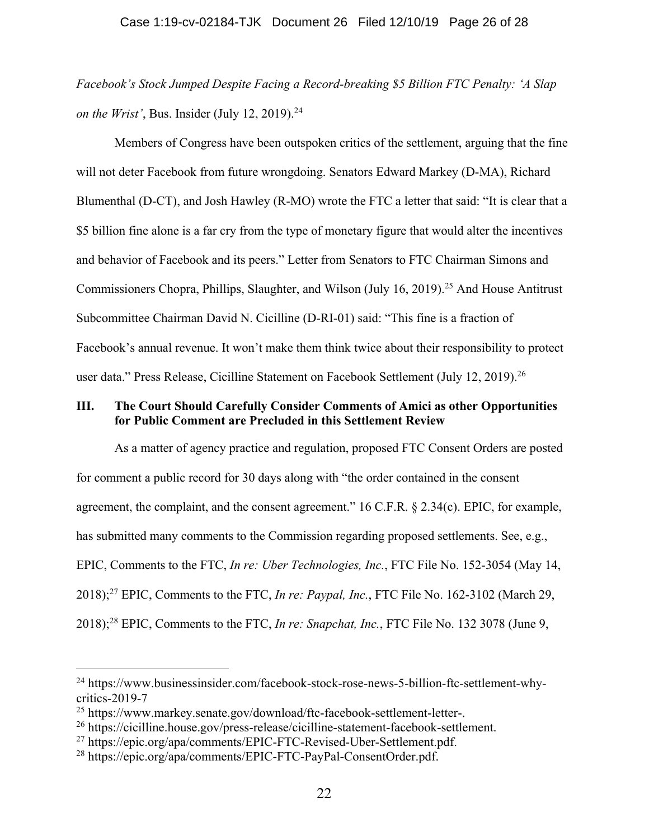*Facebook's Stock Jumped Despite Facing a Record-breaking \$5 Billion FTC Penalty: 'A Slap on the Wrist'*, Bus. Insider (July 12, 2019). 24

Members of Congress have been outspoken critics of the settlement, arguing that the fine will not deter Facebook from future wrongdoing. Senators Edward Markey (D-MA), Richard Blumenthal (D-CT), and Josh Hawley (R-MO) wrote the FTC a letter that said: "It is clear that a \$5 billion fine alone is a far cry from the type of monetary figure that would alter the incentives and behavior of Facebook and its peers." Letter from Senators to FTC Chairman Simons and Commissioners Chopra, Phillips, Slaughter, and Wilson (July 16, 2019). <sup>25</sup> And House Antitrust Subcommittee Chairman David N. Cicilline (D-RI-01) said: "This fine is a fraction of Facebook's annual revenue. It won't make them think twice about their responsibility to protect user data." Press Release, Cicilline Statement on Facebook Settlement (July 12, 2019).<sup>26</sup>

### **III. The Court Should Carefully Consider Comments of Amici as other Opportunities for Public Comment are Precluded in this Settlement Review**

As a matter of agency practice and regulation, proposed FTC Consent Orders are posted for comment a public record for 30 days along with "the order contained in the consent agreement, the complaint, and the consent agreement." 16 C.F.R. § 2.34(c). EPIC, for example, has submitted many comments to the Commission regarding proposed settlements. See, e.g., EPIC, Comments to the FTC, *In re: Uber Technologies, Inc.*, FTC File No. 152-3054 (May 14, 2018); <sup>27</sup> EPIC, Comments to the FTC, *In re: Paypal, Inc.*, FTC File No. 162-3102 (March 29, 2018); <sup>28</sup> EPIC, Comments to the FTC, *In re: Snapchat, Inc.*, FTC File No. 132 3078 (June 9,

<sup>24</sup> https://www.businessinsider.com/facebook-stock-rose-news-5-billion-ftc-settlement-whycritics-2019-7

<sup>25</sup> https://www.markey.senate.gov/download/ftc-facebook-settlement-letter-.

<sup>26</sup> https://cicilline.house.gov/press-release/cicilline-statement-facebook-settlement.

<sup>27</sup> https://epic.org/apa/comments/EPIC-FTC-Revised-Uber-Settlement.pdf.

<sup>28</sup> https://epic.org/apa/comments/EPIC-FTC-PayPal-ConsentOrder.pdf.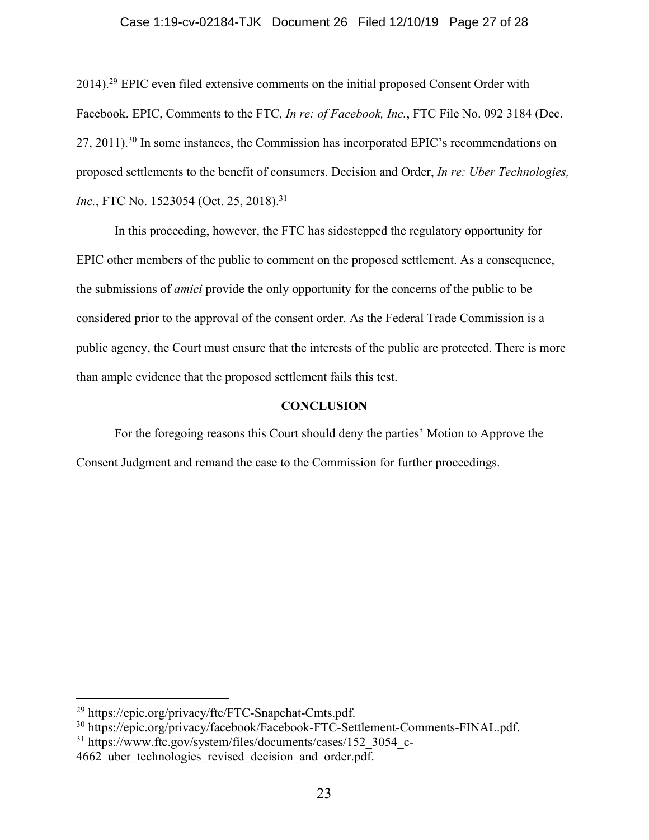### Case 1:19-cv-02184-TJK Document 26 Filed 12/10/19 Page 27 of 28

2014).<sup>29</sup> EPIC even filed extensive comments on the initial proposed Consent Order with Facebook. EPIC, Comments to the FTC*, In re: of Facebook, Inc.*, FTC File No. 092 3184 (Dec. 27, 2011).<sup>30</sup> In some instances, the Commission has incorporated EPIC's recommendations on proposed settlements to the benefit of consumers. Decision and Order, *In re: Uber Technologies,*  Inc., FTC No. 1523054 (Oct. 25, 2018).<sup>31</sup>

In this proceeding, however, the FTC has sidestepped the regulatory opportunity for EPIC other members of the public to comment on the proposed settlement. As a consequence, the submissions of *amici* provide the only opportunity for the concerns of the public to be considered prior to the approval of the consent order. As the Federal Trade Commission is a public agency, the Court must ensure that the interests of the public are protected. There is more than ample evidence that the proposed settlement fails this test.

### **CONCLUSION**

For the foregoing reasons this Court should deny the parties' Motion to Approve the Consent Judgment and remand the case to the Commission for further proceedings.

<sup>29</sup> https://epic.org/privacy/ftc/FTC-Snapchat-Cmts.pdf.

<sup>30</sup> https://epic.org/privacy/facebook/Facebook-FTC-Settlement-Comments-FINAL.pdf.

<sup>&</sup>lt;sup>31</sup> https://www.ftc.gov/system/files/documents/cases/152 3054 c-4662 uber technologies revised decision and order.pdf.